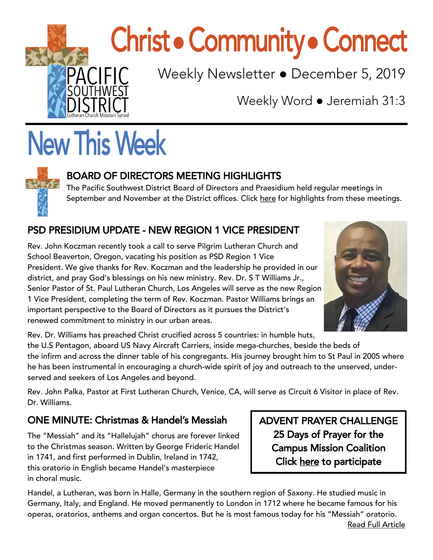

# **Christ • Community • Connect**

Weekly Newsletter • December 5, 2019

Weekly Word ● Jeremiah 31:3

## **New This Week**



#### BOARD OF DIRECTORS MEETING HIGHLIGHTS

The Pacific Southwest District Board of Directors and Praesidium held regular meetings in September and November at the District offices. Click [here](https://www.psd-lcms.org/post/board-of-directors-meetings-september-and-november-2019) for highlights from these meetings.

#### PSD PRESIDIUM UPDATE - NEW REGION 1 VICE PRESIDENT

Rev. John Koczman recently took a call to serve Pilgrim Lutheran Church and School Beaverton, Oregon, vacating his position as PSD Region 1 Vice President. We give thanks for Rev. Koczman and the leadership he provided in our district, and pray God's blessings on his new ministry. Rev. Dr. S T Williams Jr., Senior Pastor of St. Paul Lutheran Church, Los Angeles will serve as the new Region 1 Vice President, completing the term of Rev. Koczman. Pastor Williams brings an important perspective to the Board of Directors as it pursues the District's renewed commitment to ministry in our urban areas.



Rev. Dr. Williams has preached Christ crucified across 5 countries: in humble huts,

the U.S Pentagon, aboard US Navy Aircraft Carriers, inside mega-churches, beside the beds of the infirm and across the dinner table of his congregants. His journey brought him to St Paul in 2005 where he has been instrumental in encouraging a church-wide spirit of joy and outreach to the unserved, underserved and seekers of Los Angeles and beyond.

Rev. John Palka, Pastor at First Lutheran Church, Venice, CA, will serve as Circuit 6 Visitor in place of Rev. Dr. Williams.

#### ONE MINUTE: Christmas & Handel's Messiah

The "Messiah" and its "Hallelujah" chorus are forever linked to the Christmas season. Written by George Frideric Handel in 1741, and first performed in Dublin, Ireland in 1742, this oratorio in English became Handel's masterpiece in choral music.

ADVENT PRAYER CHALLENGE 25 Days of Prayer for the Campus Mission Coalition Click [here](https://drive.google.com/file/d/1je12y5enGuVMcyWWE2wByHQ_loKRvhHC/view) to participate

Handel, a Lutheran, was born in Halle, Germany in the southern region of Saxony. He studied music in Germany, Italy, and England. He moved permanently to London in 1712 where he became famous for his operas, oratorios, anthems and organ concertos. But he is most famous today for his "Messiah" oratorio.

j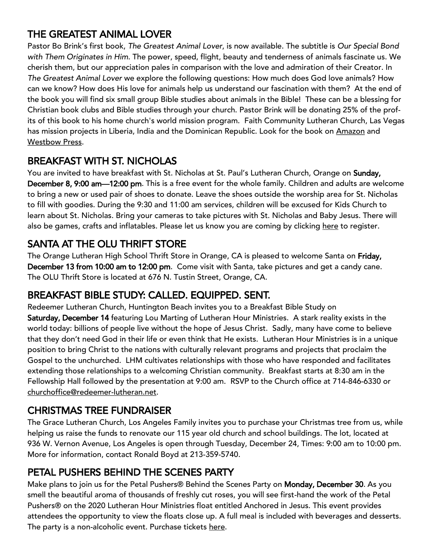#### THE GREATEST ANIMAL LOVER

Pastor Bo Brink's first book, *The Greatest Animal Lover*, is now available. The subtitle is *Our Special Bond with Them Originates in Him*. The power, speed, flight, beauty and tenderness of animals fascinate us. We cherish them, but our appreciation pales in comparison with the love and admiration of their Creator. In *The Greatest Animal Lover* we explore the following questions: How much does God love animals? How can we know? How does His love for animals help us understand our fascination with them? At the end of the book you will find six small group Bible studies about animals in the Bible! These can be a blessing for Christian book clubs and Bible studies through your church. Pastor Brink will be donating 25% of the profits of this book to his home church's world mission program. Faith Community Lutheran Church, Las Vegas has mission projects in Liberia, India and the Dominican Republic. Look for the book on [Amazon](https://www.amazon.com/Greatest-Animal-Lover-Special-Originates/dp/1973678276/ref=sr_1_1?keywords=The+Greatest+Animal+Lover&qid=1574796883&s=books&sr=1-1) and [Westbow Press.](https://www.westbowpress.com/en/bookstore/bookdetails/797911-the-greatest-animal-lover)

#### BREAKFAST WITH ST. NICHOLAS

You are invited to have breakfast with St. Nicholas at St. Paul's Lutheran Church, Orange on Sunday, December 8, 9:00 am-12:00 pm. This is a free event for the whole family. Children and adults are welcome to bring a new or used pair of shoes to donate. Leave the shoes outside the worship area for St. Nicholas to fill with goodies. During the 9:30 and 11:00 am services, children will be excused for Kids Church to learn about St. Nicholas. Bring your cameras to take pictures with St. Nicholas and Baby Jesus. There will also be games, crafts and inflatables. Please let us know you are coming by clicking [here](https://church.stpaulsorange.org/apps/pages/index.jsp?uREC_ID=741332&type=d&pREC_ID=1603099) to register.

#### SANTA AT THE OLU THRIFT STORE

The Orange Lutheran High School Thrift Store in Orange, CA is pleased to welcome Santa on Friday, December 13 from 10:00 am to 12:00 pm. Come visit with Santa, take pictures and get a candy cane. The OLU Thrift Store is located at 676 N. Tustin Street, Orange, CA.

#### BREAKFAST BIBLE STUDY: CALLED. EQUIPPED. SENT.

Redeemer Lutheran Church, Huntington Beach invites you to a Breakfast Bible Study on Saturday, December 14 featuring Lou Marting of Lutheran Hour Ministries. A stark reality exists in the world today: billions of people live without the hope of Jesus Christ. Sadly, many have come to believe that they don't need God in their life or even think that He exists. Lutheran Hour Ministries is in a unique position to bring Christ to the nations with culturally relevant programs and projects that proclaim the Gospel to the unchurched. LHM cultivates relationships with those who have responded and facilitates extending those relationships to a welcoming Christian community. Breakfast starts at 8:30 am in the Fellowship Hall followed by the presentation at 9:00 am. RSVP to the Church office at 714-846-6330 or [churchoffice@redeemer-lutheran.net.](mailto:churchoffice@redeemer-lutheran.net)

#### CHRISTMAS TREE FUNDRAISER

The Grace Lutheran Church, Los Angeles Family invites you to purchase your Christmas tree from us, while helping us raise the funds to renovate our 115 year old church and school buildings. The lot, located at 936 W. Vernon Avenue, Los Angeles is open through Tuesday, December 24, Times: 9:00 am to 10:00 pm. More for information, contact Ronald Boyd at 213-359-5740.

#### PETAL PUSHERS BEHIND THE SCENES PARTY

Make plans to join us for the Petal Pushers® Behind the Scenes Party on Monday, December 30. As you smell the beautiful aroma of thousands of freshly cut roses, you will see first-hand the work of the Petal Pushers® on the 2020 Lutheran Hour Ministries float entitled Anchored in Jesus. This event provides attendees the opportunity to view the floats close up. A full meal is included with beverages and desserts. The party is a non-alcoholic event. Purchase tickets [here.](https://u11982560.ct.sendgrid.net/wf/click?upn=yxEjJCUB3yr4eIFN253jBY0cIGOMegJMq-2FJTq-2FXgG5drtRt6xyKtc2p2utZ2q3P-2BYwnZBF-2FyIw8cp7P7ofZ2nizDywTyNqM6G5lX9PxIY0GK98PAoH61iDQXLUPCreyK_jvy1EHOPFJpyPbHypyJAlv39j9hfHDtK5XVOZ-2Fuzkf6-2Ftgf6WKRoMOv-2FasBagbFGCD)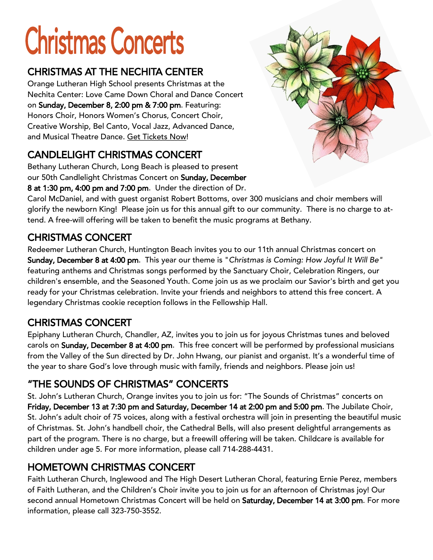# **Christmas Concerts**

#### CHRISTMAS AT THE NECHITA CENTER

Orange Lutheran High School presents Christmas at the Nechita Center: Love Came Down Choral and Dance Concert on Sunday, December 8, 2:00 pm & 7:00 pm. Featuring: Honors Choir, Honors Women's Chorus, Concert Choir, Creative Worship, Bel Canto, Vocal Jazz, Advanced Dance, and Musical Theatre Dance. [Get Tickets Now!](https://www.lhsoc.org/arts/nechita-center-events)

#### CANDLELIGHT CHRISTMAS CONCERT

Bethany Lutheran Church, Long Beach is pleased to present our 50th Candlelight Christmas Concert on Sunday, December 8 at 1:30 pm, 4:00 pm and 7:00 pm. Under the direction of Dr.

Carol McDaniel, and with guest organist Robert Bottoms, over 300 musicians and choir members will glorify the newborn King! Please join us for this annual gift to our community. There is no charge to attend. A free-will offering will be taken to benefit the music programs at Bethany.

#### CHRISTMAS CONCERT

Redeemer Lutheran Church, Huntington Beach invites you to our 11th annual Christmas concert on Sunday, December 8 at 4:00 pm. This year our theme is "*Christmas is Coming: How Joyful It Will Be"*  featuring anthems and Christmas songs performed by the Sanctuary Choir, Celebration Ringers, our children's ensemble, and the Seasoned Youth. Come join us as we proclaim our Savior's birth and get you ready for your Christmas celebration. Invite your friends and neighbors to attend this free concert. A legendary Christmas cookie reception follows in the Fellowship Hall.

#### CHRISTMAS CONCERT

Epiphany Lutheran Church, Chandler, AZ, invites you to join us for joyous Christmas tunes and beloved carols on Sunday, December 8 at 4:00 pm. This free concert will be performed by professional musicians from the Valley of the Sun directed by Dr. John Hwang, our pianist and organist. It's a wonderful time of the year to share God's love through music with family, friends and neighbors. Please join us!

#### "THE SOUNDS OF CHRISTMAS" CONCERTS

St. John's Lutheran Church, Orange invites you to join us for: "The Sounds of Christmas" concerts on Friday, December 13 at 7:30 pm and Saturday, December 14 at 2:00 pm and 5:00 pm. The Jubilate Choir, St. John's adult choir of 75 voices, along with a festival orchestra will join in presenting the beautiful music of Christmas. St. John's handbell choir, the Cathedral Bells, will also present delightful arrangements as part of the program. There is no charge, but a freewill offering will be taken. Childcare is available for children under age 5. For more information, please call 714-288-4431.

#### HOMETOWN CHRISTMAS CONCERT

Faith Lutheran Church, Inglewood and The High Desert Lutheran Choral, featuring Ernie Perez, members of Faith Lutheran, and the Children's Choir invite you to join us for an afternoon of Christmas joy! Our second annual Hometown Christmas Concert will be held on Saturday, December 14 at 3:00 pm. For more information, please call 323-750-3552.

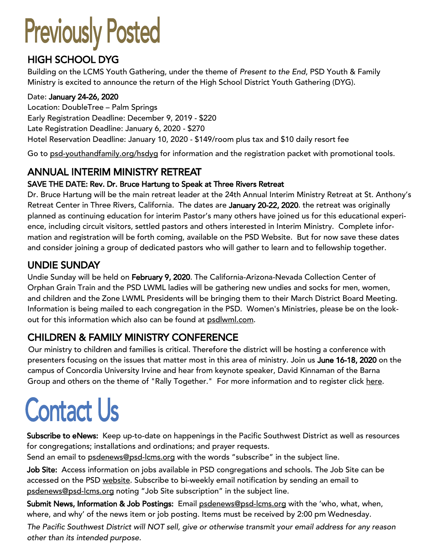## **Previously Posted**

#### HIGH SCHOOL DYG

Building on the LCMS Youth Gathering, under the theme of *Present to the End*, PSD Youth & Family Ministry is excited to announce the return of the High School District Youth Gathering (DYG).

#### Date: January 24-26, 2020

Location: DoubleTree – Palm Springs Early Registration Deadline: December 9, 2019 - \$220 Late Registration Deadline: January 6, 2020 - \$270 Hotel Reservation Deadline: January 10, 2020 - \$149/room plus tax and \$10 daily resort fee

Go to [psd-youthandfamily.org/hsdyg](http://www.psd-youthandfamily.org/hsdyg) for information and the registration packet with promotional tools.

### ANNUAL INTERIM MINISTRY RETREAT

#### SAVE THE DATE: Rev. Dr. Bruce Hartung to Speak at Three Rivers Retreat

Dr. Bruce Hartung will be the main retreat leader at the 24th Annual Interim Ministry Retreat at St. Anthony's Retreat Center in Three Rivers, California. The dates are January 20-22, 2020. the retreat was originally planned as continuing education for interim Pastor's many others have joined us for this educational experience, including circuit visitors, settled pastors and others interested in Interim Ministry. Complete information and registration will be forth coming, available on the PSD Website. But for now save these dates and consider joining a group of dedicated pastors who will gather to learn and to fellowship together.

#### UNDIE SUNDAY

Undie Sunday will be held on February 9, 2020. The California-Arizona-Nevada Collection Center of Orphan Grain Train and the PSD LWML ladies will be gathering new undies and socks for men, women, and children and the Zone LWML Presidents will be bringing them to their March District Board Meeting. Information is being mailed to each congregation in the PSD. Women's Ministries, please be on the lookout for this information which also can be found at [psdlwml.com.](http://www.psdlwml.come)

#### CHILDREN & FAMILY MINISTRY CONFERENCE

Our ministry to children and families is critical. Therefore the district will be hosting a conference with presenters focusing on the issues that matter most in this area of ministry. Join us June 16-18, 2020 on the campus of Concordia University Irvine and hear from keynote speaker, David Kinnaman of the Barna Group and others on the theme of "Rally Together." For more information and to register click here.

### **Contact Us**

Subscribe to eNews: Keep up-to-date on happenings in the Pacific Southwest District as well as resources for congregations; installations and ordinations; and prayer requests.

Send an email to [psdenews@psd-lcms.org](mailto:psdenews@psd-lcms.org) with the words "subscribe" in the subject line.

Job Site: Access information on jobs available in PSD congregations and schools. The Job Site can be accessed on the PSD [website.](http://www.psd-lcms.org/) Subscribe to bi-weekly email notification by sending an email to [psdenews@psd-lcms.org](mailto:psdenews@psd-lcms.org) noting "Job Site subscription" in the subject line.

Submit News, Information & Job Postings: Email [psdenews@psd-lcms.org](mailto:psdenews@psd-lcms.org) with the 'who, what, when, where, and why' of the news item or job posting. Items must be received by 2:00 pm Wednesday.

*The Pacific Southwest District will NOT sell, give or otherwise transmit your email address for any reason other than its intended purpose.*